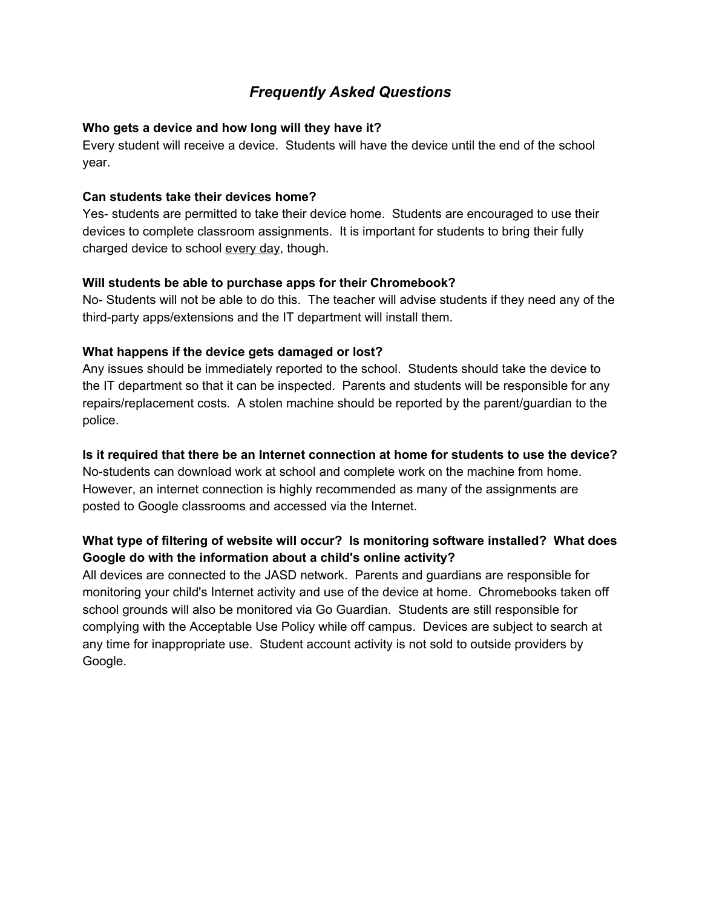## *Frequently Asked Questions*

#### **Who gets a device and how long will they have it?**

Every student will receive a device. Students will have the device until the end of the school year.

#### **Can students take their devices home?**

Yes- students are permitted to take their device home. Students are encouraged to use their devices to complete classroom assignments. It is important for students to bring their fully charged device to school every day, though.

#### **Will students be able to purchase apps for their Chromebook?**

No- Students will not be able to do this. The teacher will advise students if they need any of the third-party apps/extensions and the IT department will install them.

#### **What happens if the device gets damaged or lost?**

Any issues should be immediately reported to the school. Students should take the device to the IT department so that it can be inspected. Parents and students will be responsible for any repairs/replacement costs. A stolen machine should be reported by the parent/guardian to the police.

#### **Is it required that there be an Internet connection at home for students to use the device?**

No-students can download work at school and complete work on the machine from home. However, an internet connection is highly recommended as many of the assignments are posted to Google classrooms and accessed via the Internet.

### **What type of filtering of website will occur? Is monitoring software installed? What does Google do with the information about a child's online activity?**

All devices are connected to the JASD network. Parents and guardians are responsible for monitoring your child's Internet activity and use of the device at home. Chromebooks taken off school grounds will also be monitored via Go Guardian. Students are still responsible for complying with the Acceptable Use Policy while off campus. Devices are subject to search at any time for inappropriate use. Student account activity is not sold to outside providers by Google.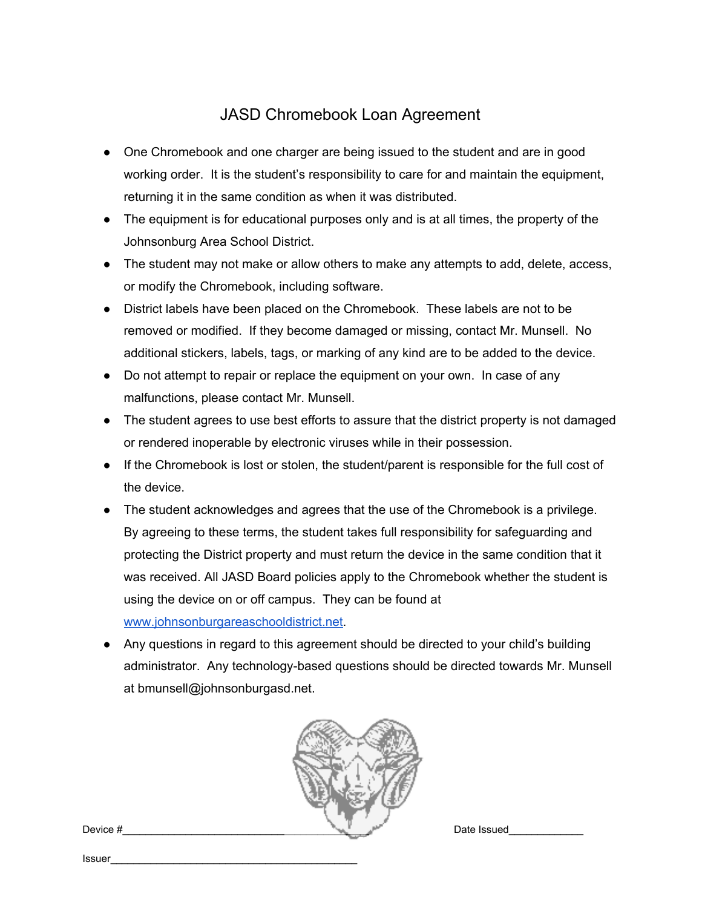# JASD Chromebook Loan Agreement

- One Chromebook and one charger are being issued to the student and are in good working order. It is the student's responsibility to care for and maintain the equipment, returning it in the same condition as when it was distributed.
- The equipment is for educational purposes only and is at all times, the property of the Johnsonburg Area School District.
- The student may not make or allow others to make any attempts to add, delete, access, or modify the Chromebook, including software.
- District labels have been placed on the Chromebook. These labels are not to be removed or modified. If they become damaged or missing, contact Mr. Munsell. No additional stickers, labels, tags, or marking of any kind are to be added to the device.
- Do not attempt to repair or replace the equipment on your own. In case of any malfunctions, please contact Mr. Munsell.
- The student agrees to use best efforts to assure that the district property is not damaged or rendered inoperable by electronic viruses while in their possession.
- If the Chromebook is lost or stolen, the student/parent is responsible for the full cost of the device.
- The student acknowledges and agrees that the use of the Chromebook is a privilege. By agreeing to these terms, the student takes full responsibility for safeguarding and protecting the District property and must return the device in the same condition that it was received. All JASD Board policies apply to the Chromebook whether the student is using the device on or off campus. They can be found at [www.johnsonburgareaschooldistrict.net](http://www.johnsonburgareaschooldistrict.net/).
- Any questions in regard to this agreement should be directed to your child's building administrator. Any technology-based questions should be directed towards Mr. Munsell at bmunsell@johnsonburgasd.net.



Issuer\_\_\_\_\_\_\_\_\_\_\_\_\_\_\_\_\_\_\_\_\_\_\_\_\_\_\_\_\_\_\_\_\_\_\_\_\_\_\_\_\_\_\_